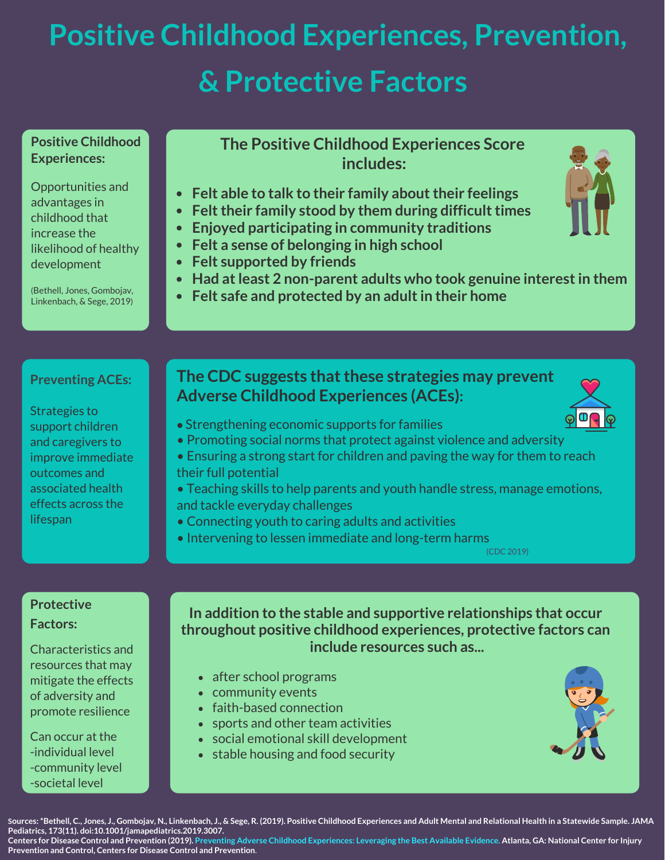# **Positive Childhood Experiences, Prevention, & Protective Factors**

#### **Positive Childhood Experiences:**

Opportunities and advantages in childhood that increase the likelihood of healthy development

(Bethell, Jones, Gombojav, Linkenbach, & Sege, 2019)

#### **The Positive Childhood Experiences Score includes:**

- **Felt able to talk to their family about their feelings**
- **Felt their family stood by them during difficult times**
- **Enjoyed participating in community traditions**
- **Felt a sense of belonging in high school**
- **Felt supported by friends**
- **Had at least 2 non-parent adults who took genuine interest in them**
- **Felt safe and protected by an adult in their home**

### **Preventing ACEs:**

Strategies to support children and caregivers to improve immediate outcomes and associated health effects across the lifespan

## **The CDC suggests that these strategies may prevent Adverse Childhood Experiences (ACEs):**

- Strengthening economic supports for families
- Promoting social norms that protect against violence and adversity
- Ensuring a strong start for children and paving the way for them to reach their full potential
- Teaching skills to help parents and youth handle stress, manage emotions, and tackle everyday challenges
- Connecting youth to caring adults and activities
- Intervening to lessen immediate and long-term harms

([CDC 2019](https://www.cdc.gov/violenceprevention/pdf/preventingACES.pdf))

#### **Protective Factors:**

Characteristics and resources that may mitigate the effects of adversity and promote resilience

Can occur at the -individual level -community level -societal level

**In addition to the stable and supportive relationships that occur throughout positive childhood experiences, protective factors can include resources such as...**

- after school programs
- community events
- faith-based connection
- sports and other team activities
- social emotional skill development
- stable housing and food security



**Sources: \*Bethell, C., Jones, J., Gombojav, N., Linkenbach, J., & Sege, R. (2019). Positive Childhood Experiences and Adult Mental and Relational Health in a Statewide Sample. JAMA Pediatrics, 173(11). doi:10.1001/jamapediatrics.2019.3007.** 

**Centers for Disease Control and Prevention (2019). [Preventing Adverse Childhood Experiences: Leveraging the Best Available Evidence](https://www.cdc.gov/violenceprevention/pdf/preventingACES.pdf). Atlanta, GA: National Center for Injury Prevention and Control, Centers for Disease Control and Prevention**.